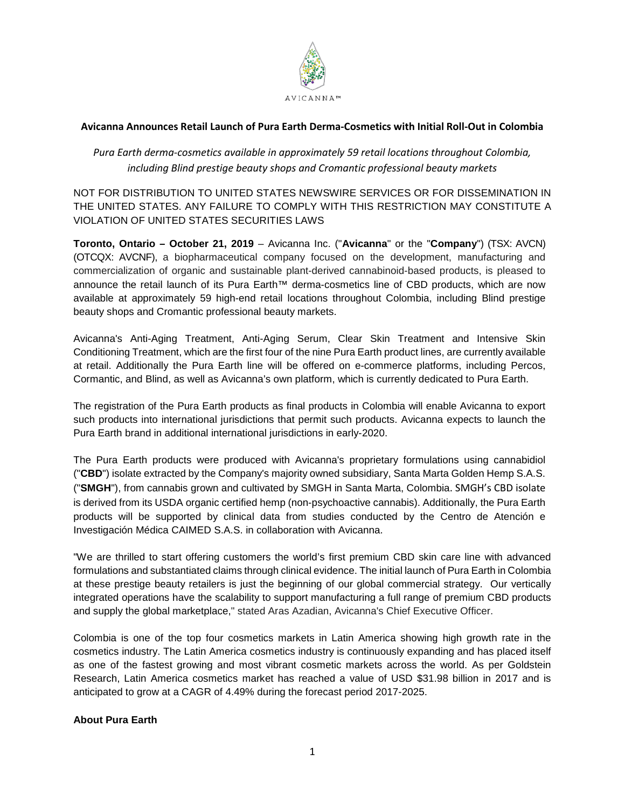

# **Avicanna Announces Retail Launch of Pura Earth Derma-Cosmetics with Initial Roll-Out in Colombia**

# *Pura Earth derma-cosmetics available in approximately 59 retail locations throughout Colombia, including Blind prestige beauty shops and Cromantic professional beauty markets*

NOT FOR DISTRIBUTION TO UNITED STATES NEWSWIRE SERVICES OR FOR DISSEMINATION IN THE UNITED STATES. ANY FAILURE TO COMPLY WITH THIS RESTRICTION MAY CONSTITUTE A VIOLATION OF UNITED STATES SECURITIES LAWS

**Toronto, Ontario – October 21, 2019** – Avicanna Inc. ("**Avicanna**" or the "**Company**") (TSX: AVCN) (OTCQX: AVCNF), a biopharmaceutical company focused on the development, manufacturing and commercialization of organic and sustainable plant-derived cannabinoid-based products, is pleased to announce the retail launch of its Pura Earth™ derma-cosmetics line of CBD products, which are now available at approximately 59 high-end retail locations throughout Colombia, including Blind prestige beauty shops and Cromantic professional beauty markets.

Avicanna's Anti-Aging Treatment, Anti-Aging Serum, Clear Skin Treatment and Intensive Skin Conditioning Treatment, which are the first four of the nine Pura Earth product lines, are currently available at retail. Additionally the Pura Earth line will be offered on e-commerce platforms, including Percos, Cormantic, and Blind, as well as Avicanna's own platform, which is currently dedicated to Pura Earth.

The registration of the Pura Earth products as final products in Colombia will enable Avicanna to export such products into international jurisdictions that permit such products. Avicanna expects to launch the Pura Earth brand in additional international jurisdictions in early-2020.

The Pura Earth products were produced with Avicanna's proprietary formulations using cannabidiol ("**CBD**") isolate extracted by the Company's majority owned subsidiary, Santa Marta Golden Hemp S.A.S. ("**SMGH**"), from cannabis grown and cultivated by SMGH in Santa Marta, Colombia. SMGH's CBD isolate is derived from its USDA organic certified hemp (non-psychoactive cannabis). Additionally, the Pura Earth products will be supported by clinical data from studies conducted by the Centro de Atención e Investigación Médica CAIMED S.A.S. in collaboration with Avicanna.

"We are thrilled to start offering customers the world's first premium CBD skin care line with advanced formulations and substantiated claims through clinical evidence. The initial launch of Pura Earth in Colombia at these prestige beauty retailers is just the beginning of our global commercial strategy. Our vertically integrated operations have the scalability to support manufacturing a full range of premium CBD products and supply the global marketplace," stated Aras Azadian, Avicanna's Chief Executive Officer.

Colombia is one of the top four cosmetics markets in Latin America showing high growth rate in the cosmetics industry. The Latin America cosmetics industry is continuously expanding and has placed itself as one of the fastest growing and most vibrant cosmetic markets across the world. As per Goldstein Research, Latin America cosmetics market has reached a value of USD \$31.98 billion in 2017 and is anticipated to grow at a CAGR of 4.49% during the forecast period 2017-2025.

## **About Pura Earth**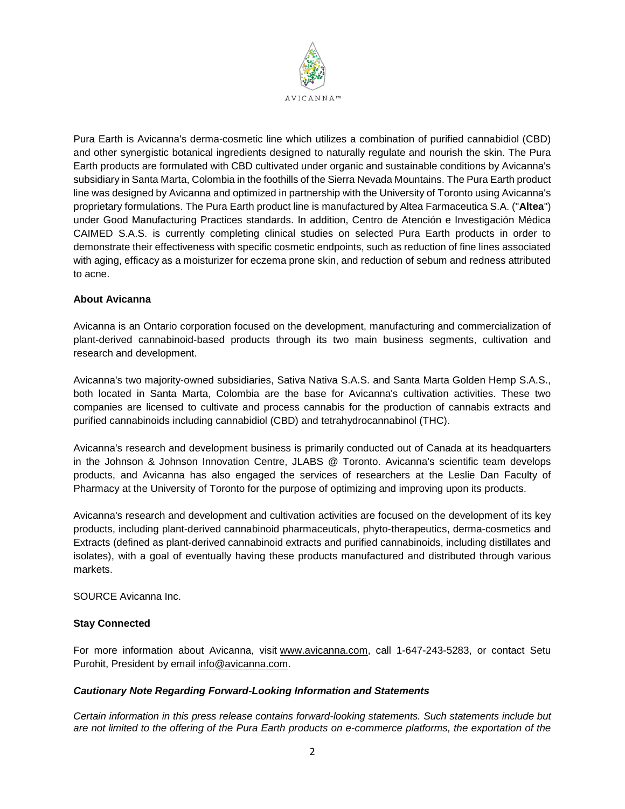

Pura Earth is Avicanna's derma-cosmetic line which utilizes a combination of purified cannabidiol (CBD) and other synergistic botanical ingredients designed to naturally regulate and nourish the skin. The Pura Earth products are formulated with CBD cultivated under organic and sustainable conditions by Avicanna's subsidiary in Santa Marta, Colombia in the foothills of the Sierra Nevada Mountains. The Pura Earth product line was designed by Avicanna and optimized in partnership with the University of Toronto using Avicanna's proprietary formulations. The Pura Earth product line is manufactured by Altea Farmaceutica S.A. ("**Altea**") under Good Manufacturing Practices standards. In addition, Centro de Atención e Investigación Médica CAIMED S.A.S. is currently completing clinical studies on selected Pura Earth products in order to demonstrate their effectiveness with specific cosmetic endpoints, such as reduction of fine lines associated with aging, efficacy as a moisturizer for eczema prone skin, and reduction of sebum and redness attributed to acne.

### **About Avicanna**

Avicanna is an Ontario corporation focused on the development, manufacturing and commercialization of plant-derived cannabinoid-based products through its two main business segments, cultivation and research and development.

Avicanna's two majority-owned subsidiaries, Sativa Nativa S.A.S. and Santa Marta Golden Hemp S.A.S., both located in Santa Marta, Colombia are the base for Avicanna's cultivation activities. These two companies are licensed to cultivate and process cannabis for the production of cannabis extracts and purified cannabinoids including cannabidiol (CBD) and tetrahydrocannabinol (THC).

Avicanna's research and development business is primarily conducted out of Canada at its headquarters in the Johnson & Johnson Innovation Centre, JLABS @ Toronto. Avicanna's scientific team develops products, and Avicanna has also engaged the services of researchers at the Leslie Dan Faculty of Pharmacy at the University of Toronto for the purpose of optimizing and improving upon its products.

Avicanna's research and development and cultivation activities are focused on the development of its key products, including plant-derived cannabinoid pharmaceuticals, phyto-therapeutics, derma-cosmetics and Extracts (defined as plant-derived cannabinoid extracts and purified cannabinoids, including distillates and isolates), with a goal of eventually having these products manufactured and distributed through various markets.

SOURCE Avicanna Inc.

#### **Stay Connected**

For more information about Avicanna, visit [www.avicanna.com,](http://www.avicanna.com/) call 1-647-243-5283, or contact Setu Purohit, President by email [info@avicanna.com.](mailto:info@avicanna.com)

#### *Cautionary Note Regarding Forward-Looking Information and Statements*

*Certain information in this press release contains forward-looking statements. Such statements include but are not limited to the offering of the Pura Earth products on e-commerce platforms, the exportation of the*